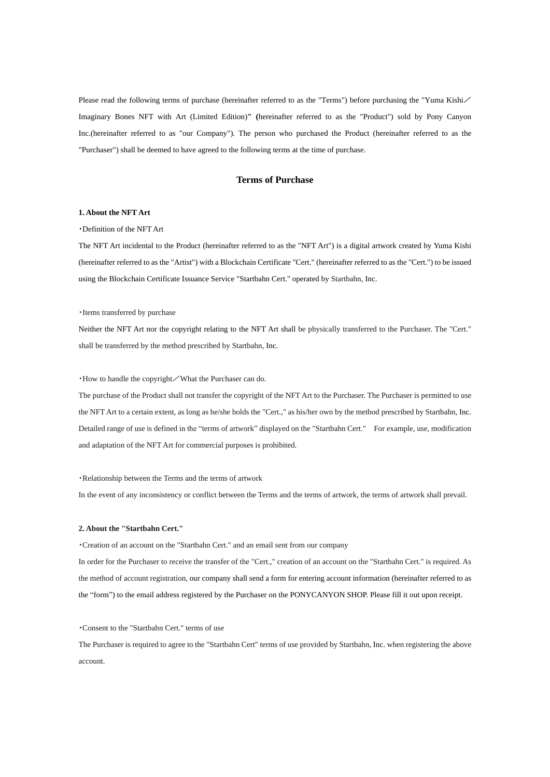Please read the following terms of purchase (hereinafter referred to as the "Terms") before purchasing the "Yuma Kishi Imaginary Bones NFT with Art (Limited Edition)**" (**hereinafter referred to as the "Product") sold by Pony Canyon Inc.(hereinafter referred to as "our Company"). The person who purchased the Product (hereinafter referred to as the "Purchaser") shall be deemed to have agreed to the following terms at the time of purchase.

# **Terms of Purchase**

## **1. About the NFT Art**

・Definition of the NFT Art

The NFT Art incidental to the Product (hereinafter referred to as the "NFT Art") is a digital artwork created by Yuma Kishi (hereinafter referred to as the "Artist") with a Blockchain Certificate "Cert." (hereinafter referred to as the "Cert.") to be issued using the Blockchain Certificate Issuance Service "Startbahn Cert." operated by Startbahn, Inc.

・Items transferred by purchase

Neither the NFT Art nor the copyright relating to the NFT Art shall be physically transferred to the Purchaser. The "Cert." shall be transferred by the method prescribed by Startbahn, Inc.

・How to handle the copyright/What the Purchaser can do.

The purchase of the Product shall not transfer the copyright of the NFT Art to the Purchaser. The Purchaser is permitted to use the NFT Art to a certain extent, as long as he/she holds the "Cert.," as his/her own by the method prescribed by Startbahn, Inc. Detailed range of use is defined in the "terms of artwork" displayed on the "Startbahn Cert." For example, use, modification and adaptation of the NFT Art for commercial purposes is prohibited.

#### ・Relationship between the Terms and the terms of artwork

In the event of any inconsistency or conflict between the Terms and the terms of artwork, the terms of artwork shall prevail.

### **2. About the "Startbahn Cert."**

・Creation of an account on the "Startbahn Cert." and an email sent from our company

In order for the Purchaser to receive the transfer of the "Cert.," creation of an account on the "Startbahn Cert." is required. As the method of account registration, our company shall send a form for entering account information (hereinafter referred to as the "form") to the email address registered by the Purchaser on the PONYCANYON SHOP. Please fill it out upon receipt.

・Consent to the "Startbahn Cert." terms of use

The Purchaser is required to agree to the "Startbahn Cert" terms of use provided by Startbahn, Inc. when registering the above account.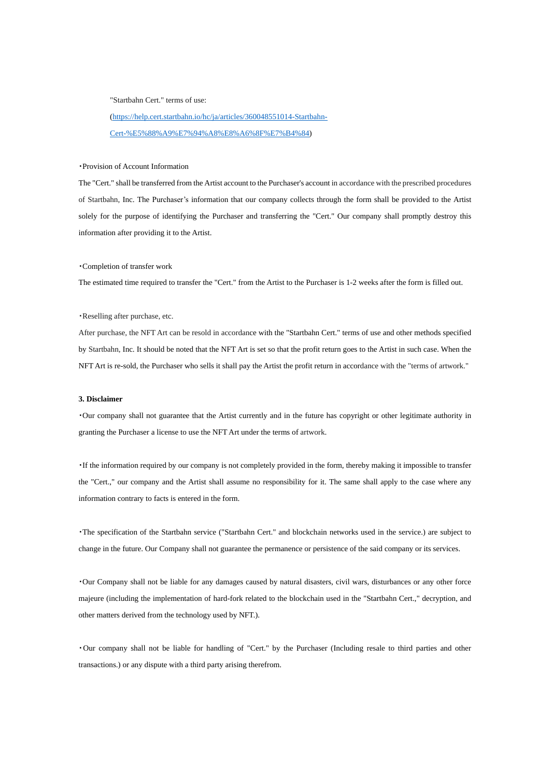#### "Startbahn Cert." terms of use:

[\(https://help.cert.startbahn.io/hc/ja/articles/360048551014-Startbahn-](https://help.cert.startbahn.io/hc/ja/articles/360048551014-Startbahn-Cert-%E5%88%A9%E7%94%A8%E8%A6%8F%E7%B4%84)[Cert-%E5%88%A9%E7%94%A8%E8%A6%8F%E7%B4%84\)](https://help.cert.startbahn.io/hc/ja/articles/360048551014-Startbahn-Cert-%E5%88%A9%E7%94%A8%E8%A6%8F%E7%B4%84)

### ・Provision of Account Information

The "Cert." shall be transferred from the Artist account to the Purchaser's account in accordance with the prescribed procedures of Startbahn, Inc. The Purchaser's information that our company collects through the form shall be provided to the Artist solely for the purpose of identifying the Purchaser and transferring the "Cert." Our company shall promptly destroy this information after providing it to the Artist.

### ・Completion of transfer work

The estimated time required to transfer the "Cert." from the Artist to the Purchaser is 1-2 weeks after the form is filled out.

#### ・Reselling after purchase, etc.

After purchase, the NFT Art can be resold in accordance with the "Startbahn Cert." terms of use and other methods specified by Startbahn, Inc. It should be noted that the NFT Art is set so that the profit return goes to the Artist in such case. When the NFT Art is re-sold, the Purchaser who sells it shall pay the Artist the profit return in accordance with the "terms of artwork."

### **3. Disclaimer**

・Our company shall not guarantee that the Artist currently and in the future has copyright or other legitimate authority in granting the Purchaser a license to use the NFT Art under the terms of artwork.

・If the information required by our company is not completely provided in the form, thereby making it impossible to transfer the "Cert.," our company and the Artist shall assume no responsibility for it. The same shall apply to the case where any information contrary to facts is entered in the form.

・The specification of the Startbahn service ("Startbahn Cert." and blockchain networks used in the service.) are subject to change in the future. Our Company shall not guarantee the permanence or persistence of the said company or its services.

・Our Company shall not be liable for any damages caused by natural disasters, civil wars, disturbances or any other force majeure (including the implementation of hard-fork related to the blockchain used in the "Startbahn Cert.," decryption, and other matters derived from the technology used by NFT.).

・Our company shall not be liable for handling of "Cert." by the Purchaser (Including resale to third parties and other transactions.) or any dispute with a third party arising therefrom.